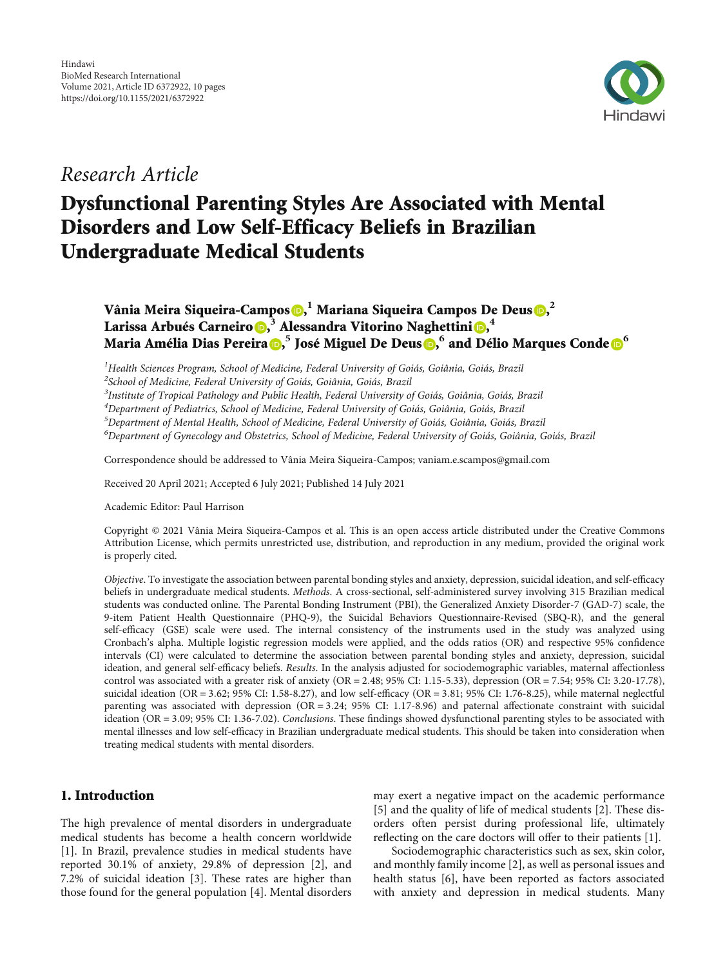

# Research Article

# Dysfunctional Parenting Styles Are Associated with Mental Disorders and Low Self-Efficacy Beliefs in Brazilian Undergraduate Medical Students

# Vânia Meira Siqueira-Campos <mark>(b), <sup>1</sup> Mariana Siqueira Campos De Deus (b,<sup>2</sup></mark> Larissa Arbués Carneiro D[,](https://orcid.org/0000-0001-5822-1410)<sup>3</sup> Alessandra Vitorino Naghettini D,<sup>4</sup> Maria Amélia Dias Pereira $\bm{\mathbb{o}}$ [,](https://orcid.org/0000-0002-1841-7635) <sup>5</sup> José Miguel De Deus $\bm{\mathbb{o}}$ , [6](https://orcid.org/0000-0003-2062-960X) and Délio Marques Conde $\bm{\mathbb{o}}^6$

 $^1$ Health Sciences Program, School of Medicine, Federal University of Goiás, Goiânia, Goiás, Brazil

<sup>2</sup> School of Medicine, Federal University of Goiás, Goiânia, Goiás, Brazil

 $^3$ Institute of Tropical Pathology and Public Health, Federal University of Goiás, Goiânia, Goiás, Brazil

4 Department of Pediatrics, School of Medicine, Federal University of Goiás, Goiânia, Goiás, Brazil

<sup>5</sup>Department of Mental Health, School of Medicine, Federal University of Goiás, Goiânia, Goiás, Brazil

6 Department of Gynecology and Obstetrics, School of Medicine, Federal University of Goiás, Goiânia, Goiás, Brazil

Correspondence should be addressed to Vânia Meira Siqueira-Campos; vaniam.e.scampos@gmail.com

Received 20 April 2021; Accepted 6 July 2021; Published 14 July 2021

Academic Editor: Paul Harrison

Copyright © 2021 Vânia Meira Siqueira-Campos et al. This is an open access article distributed under the [Creative Commons](https://creativecommons.org/licenses/by/4.0/) [Attribution License](https://creativecommons.org/licenses/by/4.0/), which permits unrestricted use, distribution, and reproduction in any medium, provided the original work is properly cited.

Objective. To investigate the association between parental bonding styles and anxiety, depression, suicidal ideation, and self-efficacy beliefs in undergraduate medical students. Methods. A cross-sectional, self-administered survey involving 315 Brazilian medical students was conducted online. The Parental Bonding Instrument (PBI), the Generalized Anxiety Disorder-7 (GAD-7) scale, the 9-item Patient Health Questionnaire (PHQ-9), the Suicidal Behaviors Questionnaire-Revised (SBQ-R), and the general self-efficacy (GSE) scale were used. The internal consistency of the instruments used in the study was analyzed using Cronbach's alpha. Multiple logistic regression models were applied, and the odds ratios (OR) and respective 95% confidence intervals (CI) were calculated to determine the association between parental bonding styles and anxiety, depression, suicidal ideation, and general self-efficacy beliefs. Results. In the analysis adjusted for sociodemographic variables, maternal affectionless control was associated with a greater risk of anxiety (OR = 2*:*48; 95% CI: 1.15-5.33), depression (OR = 7*:*54; 95% CI: 3.20-17.78), suicidal ideation (OR = 3*:*62; 95% CI: 1.58-8.27), and low self-efficacy (OR = 3*:*81; 95% CI: 1.76-8.25), while maternal neglectful parenting was associated with depression (OR = 3*:*24; 95% CI: 1.17-8.96) and paternal affectionate constraint with suicidal ideation (OR = 3*:*09; 95% CI: 1.36-7.02). Conclusions. These findings showed dysfunctional parenting styles to be associated with mental illnesses and low self-efficacy in Brazilian undergraduate medical students. This should be taken into consideration when treating medical students with mental disorders.

# 1. Introduction

The high prevalence of mental disorders in undergraduate medical students has become a health concern worldwide [\[1](#page-8-0)]. In Brazil, prevalence studies in medical students have reported 30.1% of anxiety, 29.8% of depression [[2](#page-8-0)], and 7.2% of suicidal ideation [[3](#page-8-0)]. These rates are higher than those found for the general population [\[4](#page-8-0)]. Mental disorders may exert a negative impact on the academic performance [\[5](#page-8-0)] and the quality of life of medical students [[2\]](#page-8-0). These disorders often persist during professional life, ultimately reflecting on the care doctors will offer to their patients [[1](#page-8-0)].

Sociodemographic characteristics such as sex, skin color, and monthly family income [[2\]](#page-8-0), as well as personal issues and health status [\[6](#page-8-0)], have been reported as factors associated with anxiety and depression in medical students. Many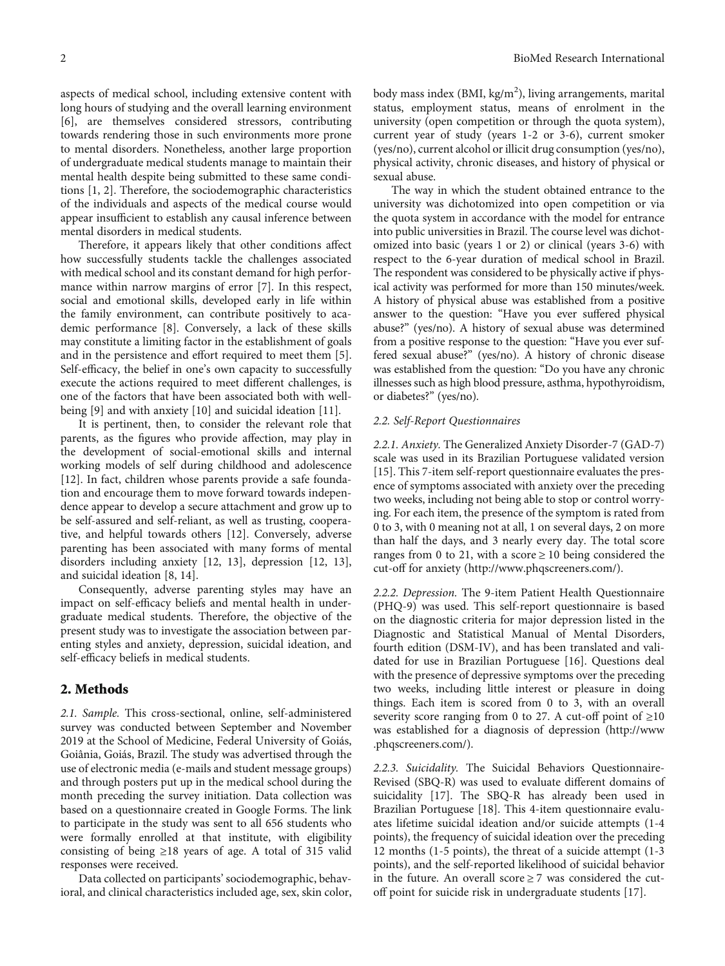aspects of medical school, including extensive content with long hours of studying and the overall learning environment [\[6](#page-8-0)], are themselves considered stressors, contributing towards rendering those in such environments more prone to mental disorders. Nonetheless, another large proportion of undergraduate medical students manage to maintain their mental health despite being submitted to these same conditions [[1, 2\]](#page-8-0). Therefore, the sociodemographic characteristics of the individuals and aspects of the medical course would appear insufficient to establish any causal inference between mental disorders in medical students.

Therefore, it appears likely that other conditions affect how successfully students tackle the challenges associated with medical school and its constant demand for high performance within narrow margins of error [\[7](#page-8-0)]. In this respect, social and emotional skills, developed early in life within the family environment, can contribute positively to academic performance [[8\]](#page-8-0). Conversely, a lack of these skills may constitute a limiting factor in the establishment of goals and in the persistence and effort required to meet them [[5](#page-8-0)]. Self-efficacy, the belief in one's own capacity to successfully execute the actions required to meet different challenges, is one of the factors that have been associated both with wellbeing [[9\]](#page-8-0) and with anxiety [\[10\]](#page-8-0) and suicidal ideation [\[11\]](#page-8-0).

It is pertinent, then, to consider the relevant role that parents, as the figures who provide affection, may play in the development of social-emotional skills and internal working models of self during childhood and adolescence [\[12](#page-8-0)]. In fact, children whose parents provide a safe foundation and encourage them to move forward towards independence appear to develop a secure attachment and grow up to be self-assured and self-reliant, as well as trusting, cooperative, and helpful towards others [[12](#page-8-0)]. Conversely, adverse parenting has been associated with many forms of mental disorders including anxiety [\[12](#page-8-0), [13\]](#page-8-0), depression [\[12, 13](#page-8-0)], and suicidal ideation [\[8](#page-8-0), [14\]](#page-8-0).

Consequently, adverse parenting styles may have an impact on self-efficacy beliefs and mental health in undergraduate medical students. Therefore, the objective of the present study was to investigate the association between parenting styles and anxiety, depression, suicidal ideation, and self-efficacy beliefs in medical students.

### 2. Methods

2.1. Sample. This cross-sectional, online, self-administered survey was conducted between September and November 2019 at the School of Medicine, Federal University of Goiás, Goiânia, Goiás, Brazil. The study was advertised through the use of electronic media (e-mails and student message groups) and through posters put up in the medical school during the month preceding the survey initiation. Data collection was based on a questionnaire created in Google Forms. The link to participate in the study was sent to all 656 students who were formally enrolled at that institute, with eligibility consisting of being ≥18 years of age. A total of 315 valid responses were received.

Data collected on participants' sociodemographic, behavioral, and clinical characteristics included age, sex, skin color,

body mass index (BMI, kg/m<sup>2</sup>), living arrangements, marital status, employment status, means of enrolment in the university (open competition or through the quota system), current year of study (years 1-2 or 3-6), current smoker (yes/no), current alcohol or illicit drug consumption (yes/no), physical activity, chronic diseases, and history of physical or sexual abuse.

The way in which the student obtained entrance to the university was dichotomized into open competition or via the quota system in accordance with the model for entrance into public universities in Brazil. The course level was dichotomized into basic (years 1 or 2) or clinical (years 3-6) with respect to the 6-year duration of medical school in Brazil. The respondent was considered to be physically active if physical activity was performed for more than 150 minutes/week. A history of physical abuse was established from a positive answer to the question: "Have you ever suffered physical abuse?" (yes/no). A history of sexual abuse was determined from a positive response to the question: "Have you ever suffered sexual abuse?" (yes/no). A history of chronic disease was established from the question: "Do you have any chronic illnesses such as high blood pressure, asthma, hypothyroidism, or diabetes?" (yes/no).

#### 2.2. Self-Report Questionnaires

2.2.1. Anxiety. The Generalized Anxiety Disorder-7 (GAD-7) scale was used in its Brazilian Portuguese validated version [\[15\]](#page-8-0). This 7-item self-report questionnaire evaluates the presence of symptoms associated with anxiety over the preceding two weeks, including not being able to stop or control worrying. For each item, the presence of the symptom is rated from 0 to 3, with 0 meaning not at all, 1 on several days, 2 on more than half the days, and 3 nearly every day. The total score ranges from 0 to 21, with a score  $\geq$  10 being considered the cut-off for anxiety [\(http://www.phqscreeners.com/](http://www.phqscreeners.com/)).

2.2.2. Depression. The 9-item Patient Health Questionnaire (PHQ-9) was used. This self-report questionnaire is based on the diagnostic criteria for major depression listed in the Diagnostic and Statistical Manual of Mental Disorders, fourth edition (DSM-IV), and has been translated and validated for use in Brazilian Portuguese [\[16](#page-8-0)]. Questions deal with the presence of depressive symptoms over the preceding two weeks, including little interest or pleasure in doing things. Each item is scored from 0 to 3, with an overall severity score ranging from 0 to 27. A cut-off point of  $\geq 10$ was established for a diagnosis of depression [\(http://www](http://www.phqscreeners.com/) [.phqscreeners.com/](http://www.phqscreeners.com/)).

2.2.3. Suicidality. The Suicidal Behaviors Questionnaire-Revised (SBQ-R) was used to evaluate different domains of suicidality [\[17\]](#page-8-0). The SBQ-R has already been used in Brazilian Portuguese [[18](#page-8-0)]. This 4-item questionnaire evaluates lifetime suicidal ideation and/or suicide attempts (1-4 points), the frequency of suicidal ideation over the preceding 12 months (1-5 points), the threat of a suicide attempt (1-3 points), and the self-reported likelihood of suicidal behavior in the future. An overall score  $\geq$  7 was considered the cutoff point for suicide risk in undergraduate students [[17](#page-8-0)].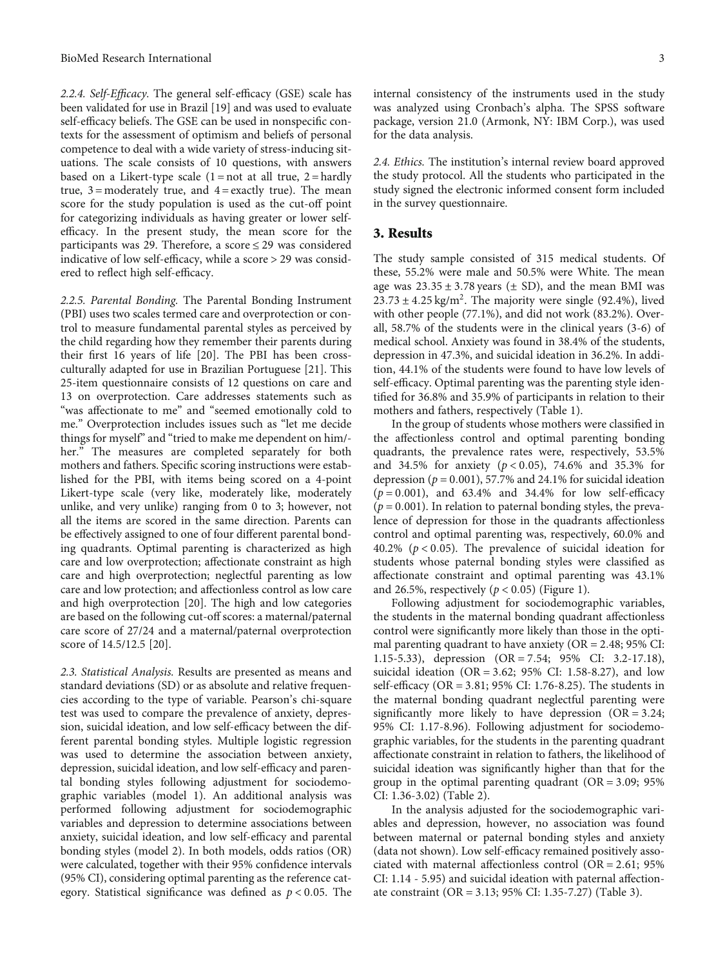2.2.4. Self-Efficacy. The general self-efficacy (GSE) scale has been validated for use in Brazil [[19](#page-8-0)] and was used to evaluate self-efficacy beliefs. The GSE can be used in nonspecific contexts for the assessment of optimism and beliefs of personal competence to deal with a wide variety of stress-inducing situations. The scale consists of 10 questions, with answers based on a Likert-type scale  $(1 = not at all true, 2 = hardly)$ true,  $3 =$  moderately true, and  $4 =$  exactly true). The mean score for the study population is used as the cut-off point for categorizing individuals as having greater or lower selfefficacy. In the present study, the mean score for the participants was 29. Therefore, a score <sup>≤</sup> 29 was considered indicative of low self-efficacy, while a score > 29 was considered to reflect high self-efficacy.

2.2.5. Parental Bonding. The Parental Bonding Instrument (PBI) uses two scales termed care and overprotection or control to measure fundamental parental styles as perceived by the child regarding how they remember their parents during their first 16 years of life [\[20\]](#page-8-0). The PBI has been crossculturally adapted for use in Brazilian Portuguese [\[21\]](#page-8-0). This 25-item questionnaire consists of 12 questions on care and 13 on overprotection. Care addresses statements such as "was affectionate to me" and "seemed emotionally cold to me." Overprotection includes issues such as "let me decide things for myself" and "tried to make me dependent on him/ her." The measures are completed separately for both mothers and fathers. Specific scoring instructions were established for the PBI, with items being scored on a 4-point Likert-type scale (very like, moderately like, moderately unlike, and very unlike) ranging from 0 to 3; however, not all the items are scored in the same direction. Parents can be effectively assigned to one of four different parental bonding quadrants. Optimal parenting is characterized as high care and low overprotection; affectionate constraint as high care and high overprotection; neglectful parenting as low care and low protection; and affectionless control as low care and high overprotection [[20](#page-8-0)]. The high and low categories are based on the following cut-off scores: a maternal/paternal care score of 27/24 and a maternal/paternal overprotection score of 14.5/12.5 [\[20](#page-8-0)].

2.3. Statistical Analysis. Results are presented as means and standard deviations (SD) or as absolute and relative frequencies according to the type of variable. Pearson's chi-square test was used to compare the prevalence of anxiety, depression, suicidal ideation, and low self-efficacy between the different parental bonding styles. Multiple logistic regression was used to determine the association between anxiety, depression, suicidal ideation, and low self-efficacy and parental bonding styles following adjustment for sociodemographic variables (model 1). An additional analysis was performed following adjustment for sociodemographic variables and depression to determine associations between anxiety, suicidal ideation, and low self-efficacy and parental bonding styles (model 2). In both models, odds ratios (OR) were calculated, together with their 95% confidence intervals (95% CI), considering optimal parenting as the reference category. Statistical significance was defined as *<sup>p</sup>* < 0*:*05. The internal consistency of the instruments used in the study was analyzed using Cronbach's alpha. The SPSS software package, version 21.0 (Armonk, NY: IBM Corp.), was used for the data analysis.

2.4. Ethics. The institution's internal review board approved the study protocol. All the students who participated in the study signed the electronic informed consent form included in the survey questionnaire.

#### 3. Results

The study sample consisted of 315 medical students. Of these, 55.2% were male and 50.5% were White. The mean age was  $23.35 \pm 3.78$  years ( $\pm$  SD), and the mean BMI was  $23.73 \pm 4.25$  kg/m<sup>2</sup>. The majority were single (92.4%), lived with other people (77.1%), and did not work (83.2%). Overall, 58.7% of the students were in the clinical years (3-6) of medical school. Anxiety was found in 38.4% of the students, depression in 47.3%, and suicidal ideation in 36.2%. In addition, 44.1% of the students were found to have low levels of self-efficacy. Optimal parenting was the parenting style identified for 36.8% and 35.9% of participants in relation to their mothers and fathers, respectively (Table [1\)](#page-3-0).

In the group of students whose mothers were classified in the affectionless control and optimal parenting bonding quadrants, the prevalence rates were, respectively, 53.5% and 34.5% for anxiety (*<sup>p</sup>* < 0*:*05), 74.6% and 35.3% for depression ( $p = 0.001$ ), 57.7% and 24.1% for suicidal ideation  $(p = 0.001)$ , and 63.4% and 34.4% for low self-efficacy  $(p = 0.001)$ . In relation to paternal bonding styles, the prevalence of depression for those in the quadrants affectionless control and optimal parenting was, respectively, 60.0% and 40.2% (*<sup>p</sup>* < 0*:*05). The prevalence of suicidal ideation for students whose paternal bonding styles were classified as affectionate constraint and optimal parenting was 43.1% and 26.5%, respectively  $(p < 0.05)$  (Figure [1\)](#page-4-0).

Following adjustment for sociodemographic variables, the students in the maternal bonding quadrant affectionless control were significantly more likely than those in the optimal parenting quadrant to have anxiety (OR = 2*:*48; 95% CI: 1.15-5.33), depression (OR = 7*:*54; 95% CI: 3.2-17.18), suicidal ideation (OR = 3*:*62; 95% CI: 1.58-8.27), and low self-efficacy (OR = 3*:*81; 95% CI: 1.76-8.25). The students in the maternal bonding quadrant neglectful parenting were significantly more likely to have depression (OR = 3*:*24; 95% CI: 1.17-8.96). Following adjustment for sociodemographic variables, for the students in the parenting quadrant affectionate constraint in relation to fathers, the likelihood of suicidal ideation was significantly higher than that for the group in the optimal parenting quadrant (OR = 3*:*09; 95% CI: 1.36-3.02) (Table [2\)](#page-5-0).

In the analysis adjusted for the sociodemographic variables and depression, however, no association was found between maternal or paternal bonding styles and anxiety (data not shown). Low self-efficacy remained positively associated with maternal affectionless control (OR = 2*:*61; 95% CI: 1.14 - 5.95) and suicidal ideation with paternal affectionate constraint (OR = 3*:*13; 95% CI: 1.35-7.27) (Table [3\)](#page-6-0).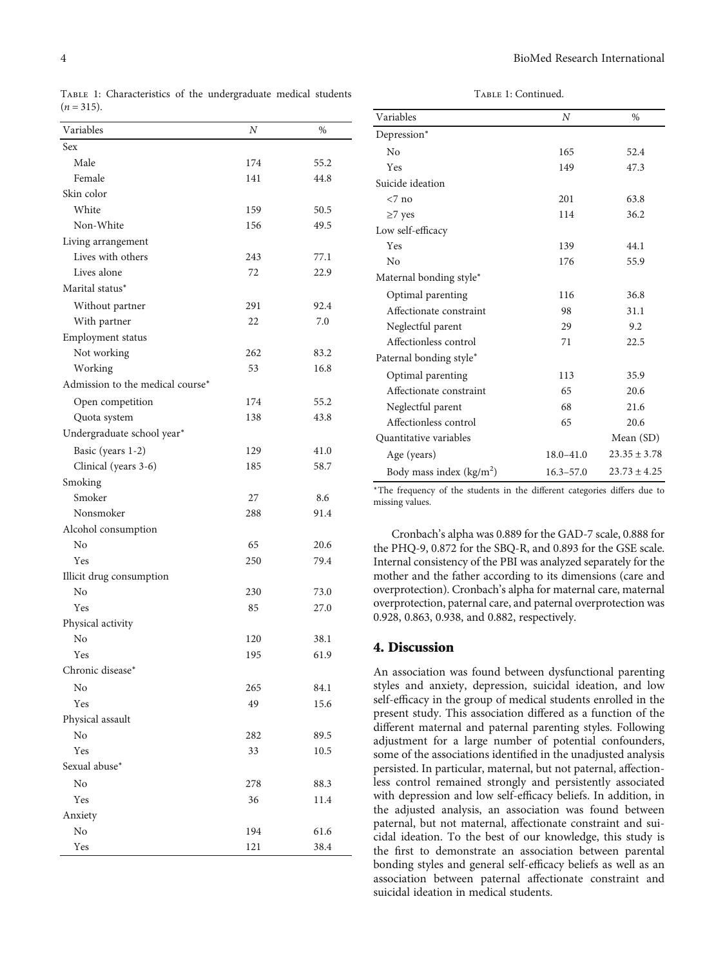$(n = 315)$ .

TABLE 1: Continued.

| Variables                        | Ν          | %            |
|----------------------------------|------------|--------------|
| Sex                              |            |              |
| Male                             | 174        | 55.2         |
| Female                           | 141        | 44.8         |
| Skin color                       |            |              |
| White                            | 159        | 50.5         |
| Non-White                        | 156        | 49.5         |
| Living arrangement               |            |              |
| Lives with others                | 243        | 77.1         |
| Lives alone                      | 72         | 22.9         |
| Marital status*                  |            |              |
| Without partner                  | 291        | 92.4         |
| With partner                     | 22         | 7.0          |
| Employment status                |            |              |
| Not working                      | 262        | 83.2         |
| Working                          | 53         | 16.8         |
| Admission to the medical course* |            |              |
| Open competition                 | 174        | 55.2         |
| Quota system                     | 138        | 43.8         |
| Undergraduate school year*       |            |              |
|                                  |            |              |
| Basic (years 1-2)                | 129<br>185 | 41.0<br>58.7 |
| Clinical (years 3-6)             |            |              |
| Smoking<br>Smoker                | 27         | 8.6          |
| Nonsmoker                        | 288        | 91.4         |
|                                  |            |              |
| Alcohol consumption<br>No        | 65         | 20.6         |
| Yes                              | 250        | 79.4         |
| Illicit drug consumption         |            |              |
| No                               | 230        | 73.0         |
| Yes                              | 85         | 27.0         |
| Physical activity                |            |              |
| No                               | 120        | 38.1         |
| $\operatorname{Yes}$             | 195        | 61.9         |
| Chronic disease*                 |            |              |
| No                               | 265        |              |
| Yes                              | 49         | 84.1<br>15.6 |
| Physical assault                 |            |              |
| No                               | 282        | 89.5         |
| Yes                              | 33         | 10.5         |
| Sexual abuse*                    |            |              |
|                                  |            |              |
| No                               | 278        | 88.3         |
| Yes                              | 36         | 11.4         |
| Anxiety                          |            |              |
| No<br>Yes                        | 194<br>121 | 61.6<br>38.4 |
|                                  |            |              |

<span id="page-3-0"></span>Table 1: Characteristics of the undergraduate medical students

| Variables                  | N             | $\%$             |
|----------------------------|---------------|------------------|
| Depression*                |               |                  |
| $N_{0}$                    | 165           | 52.4             |
| Yes                        | 149           | 47.3             |
| Suicide ideation           |               |                  |
| $< 7$ no                   | 201           | 63.8             |
| $\geq$ 7 yes               | 114           | 36.2             |
| Low self-efficacy          |               |                  |
| Yes                        | 139           | 44.1             |
| $\overline{N}$             | 176           | 55.9             |
| Maternal bonding style*    |               |                  |
| Optimal parenting          | 116           | 36.8             |
| Affectionate constraint    | 98            | 31.1             |
| Neglectful parent          | 29            | 9.2              |
| Affectionless control      | 71            | 22.5             |
| Paternal bonding style*    |               |                  |
| Optimal parenting          | 113           | 35.9             |
| Affectionate constraint    | 65            | 20.6             |
| Neglectful parent          | 68            | 21.6             |
| Affectionless control      | 65            | 20.6             |
| Quantitative variables     |               | Mean (SD)        |
| Age (years)                | $18.0 - 41.0$ | $23.35 \pm 3.78$ |
| Body mass index $(kg/m^2)$ | $16.3 - 57.0$ | $23.73 \pm 4.25$ |

<sup>∗</sup>The frequency of the students in the different categories differs due to missing values.

Cronbach's alpha was 0.889 for the GAD-7 scale, 0.888 for the PHQ-9, 0.872 for the SBQ-R, and 0.893 for the GSE scale. Internal consistency of the PBI was analyzed separately for the mother and the father according to its dimensions (care and overprotection). Cronbach's alpha for maternal care, maternal overprotection, paternal care, and paternal overprotection was 0.928, 0.863, 0.938, and 0.882, respectively.

# 4. Discussion

An association was found between dysfunctional parenting styles and anxiety, depression, suicidal ideation, and low self-efficacy in the group of medical students enrolled in the present study. This association differed as a function of the different maternal and paternal parenting styles. Following adjustment for a large number of potential confounders, some of the associations identified in the unadjusted analysis persisted. In particular, maternal, but not paternal, affectionless control remained strongly and persistently associated with depression and low self-efficacy beliefs. In addition, in the adjusted analysis, an association was found between paternal, but not maternal, affectionate constraint and suicidal ideation. To the best of our knowledge, this study is the first to demonstrate an association between parental bonding styles and general self-efficacy beliefs as well as an association between paternal affectionate constraint and suicidal ideation in medical students.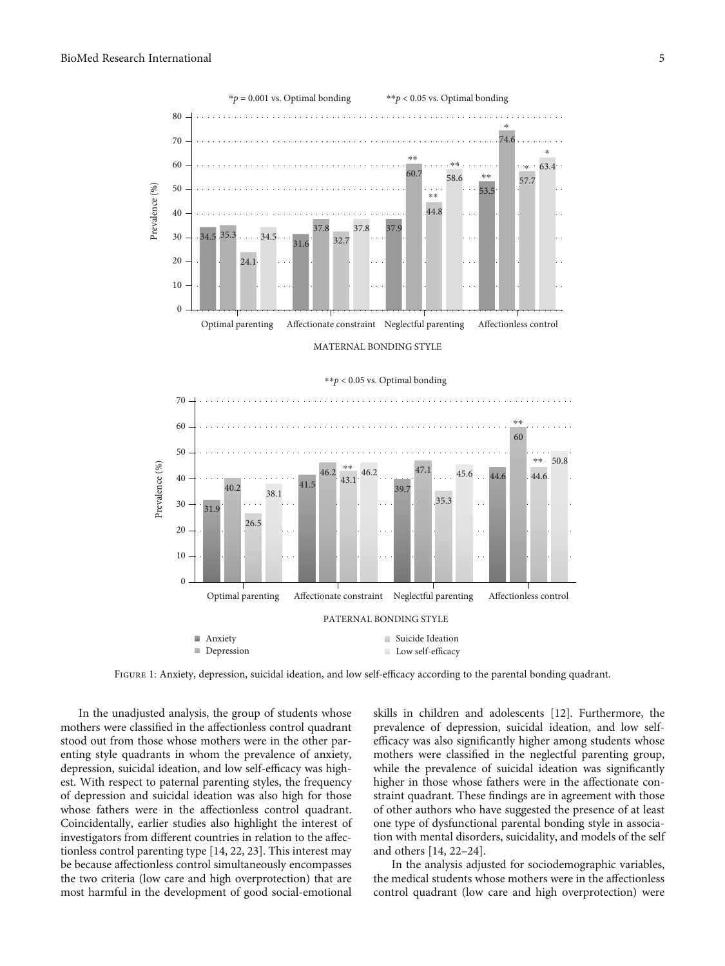<span id="page-4-0"></span>

Figure 1: Anxiety, depression, suicidal ideation, and low self-efficacy according to the parental bonding quadrant.

In the unadjusted analysis, the group of students whose mothers were classified in the affectionless control quadrant stood out from those whose mothers were in the other parenting style quadrants in whom the prevalence of anxiety, depression, suicidal ideation, and low self-efficacy was highest. With respect to paternal parenting styles, the frequency of depression and suicidal ideation was also high for those whose fathers were in the affectionless control quadrant. Coincidentally, earlier studies also highlight the interest of investigators from different countries in relation to the affectionless control parenting type [[14](#page-8-0), [22](#page-8-0), [23](#page-8-0)]. This interest may be because affectionless control simultaneously encompasses the two criteria (low care and high overprotection) that are most harmful in the development of good social-emotional

skills in children and adolescents [[12](#page-8-0)]. Furthermore, the prevalence of depression, suicidal ideation, and low selfefficacy was also significantly higher among students whose mothers were classified in the neglectful parenting group, while the prevalence of suicidal ideation was significantly higher in those whose fathers were in the affectionate constraint quadrant. These findings are in agreement with those of other authors who have suggested the presence of at least one type of dysfunctional parental bonding style in association with mental disorders, suicidality, and models of the self and others [[14](#page-8-0), [22](#page-8-0)–[24](#page-8-0)].

In the analysis adjusted for sociodemographic variables, the medical students whose mothers were in the affectionless control quadrant (low care and high overprotection) were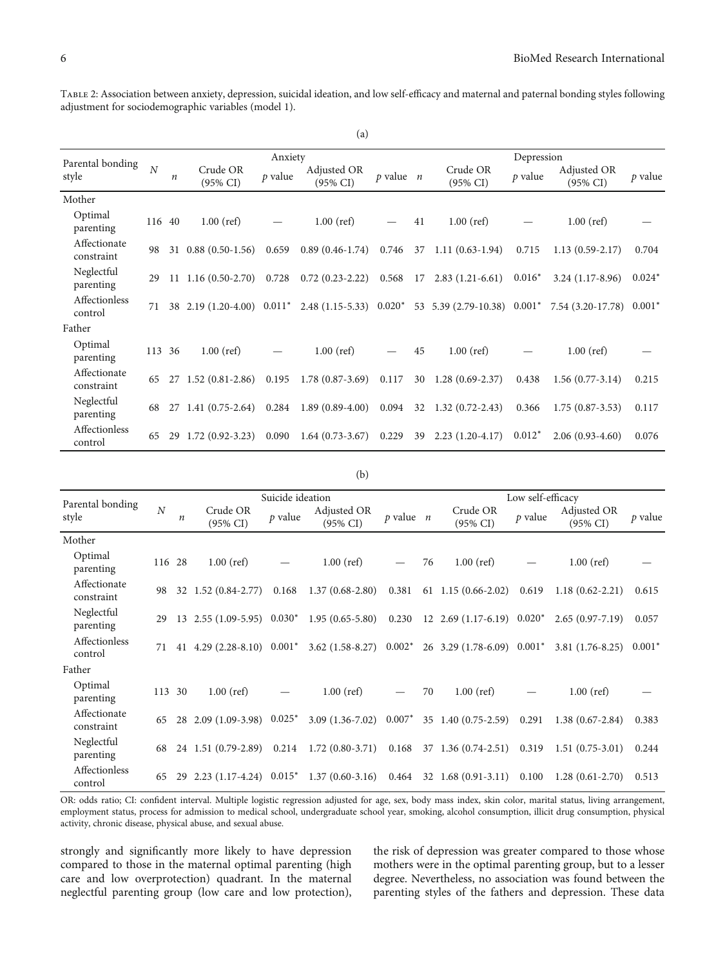<span id="page-5-0"></span>Table 2: Association between anxiety, depression, suicidal ideation, and low self-efficacy and maternal and paternal bonding styles following adjustment for sociodemographic variables (model 1).

| (a)                        |                |                  |                                 |           |                                                  |               |    |                                                                             |           |                                                                                                  |          |  |  |
|----------------------------|----------------|------------------|---------------------------------|-----------|--------------------------------------------------|---------------|----|-----------------------------------------------------------------------------|-----------|--------------------------------------------------------------------------------------------------|----------|--|--|
| Parental bonding           |                |                  | Anxiety                         |           |                                                  |               |    | Depression                                                                  |           |                                                                                                  |          |  |  |
| style                      | $\overline{N}$ | $\boldsymbol{n}$ | Crude OR<br>$(95\% \text{ CI})$ | $p$ value | Adjusted OR<br>$(95\% \text{ CI})$               | $p$ value $n$ |    | Crude OR<br>$(95\% \text{ CI})$                                             | $p$ value | Adjusted OR<br>$(95\% \text{ CI})$                                                               | p value  |  |  |
| Mother                     |                |                  |                                 |           |                                                  |               |    |                                                                             |           |                                                                                                  |          |  |  |
| Optimal<br>parenting       | 116 40         |                  | $1.00$ (ref)                    |           | $1.00$ (ref)                                     |               | 41 | $1.00$ (ref)                                                                |           | $1.00$ (ref)                                                                                     |          |  |  |
| Affectionate<br>constraint | 98             |                  | 31 0.88 (0.50-1.56) 0.659       |           | $0.89(0.46-1.74)$ 0.746                          |               |    | 37 1.11 (0.63-1.94)                                                         | 0.715     | $1.13(0.59-2.17)$                                                                                | 0.704    |  |  |
| Neglectful<br>parenting    | 29             |                  |                                 |           |                                                  |               |    | 11 $1.16(0.50-2.70)$ $0.728$ $0.72(0.23-2.22)$ $0.568$ 17 $2.83(1.21-6.61)$ | $0.016*$  | $3.24(1.17-8.96)$                                                                                | $0.024*$ |  |  |
| Affectionless<br>control   | 71             |                  |                                 |           |                                                  |               |    |                                                                             |           | 38 2.19 (1.20-4.00) 0.011* 2.48 (1.15-5.33) 0.020* 53 5.39 (2.79-10.38) 0.001* 7.54 (3.20-17.78) | $0.001*$ |  |  |
| Father                     |                |                  |                                 |           |                                                  |               |    |                                                                             |           |                                                                                                  |          |  |  |
| Optimal<br>parenting       | 113 36         |                  | $1.00$ (ref)                    |           | $1.00$ (ref)                                     |               | 45 | $1.00$ (ref)                                                                |           | $1.00$ (ref)                                                                                     |          |  |  |
| Affectionate<br>constraint | 65             |                  |                                 |           | 27 1.52 (0.81-2.86) 0.195 1.78 (0.87-3.69) 0.117 |               |    | 30 1.28 (0.69-2.37)                                                         | 0.438     | $1.56(0.77-3.14)$                                                                                | 0.215    |  |  |
| Neglectful<br>parenting    | 68             |                  | 27 1.41 (0.75-2.64)             |           | $0.284$ 1.89 $(0.89-4.00)$                       |               |    | $0.094$ 32 1.32 $(0.72 - 2.43)$                                             | 0.366     | $1.75(0.87-3.53)$                                                                                | 0.117    |  |  |
| Affectionless<br>control   | 65             |                  | 29 1.72 (0.92-3.23)             | 0.090     | $1.64(0.73-3.67)$                                | 0.229         |    | 39 2.23 (1.20-4.17)                                                         | $0.012*$  | $2.06(0.93-4.60)$                                                                                | 0.076    |  |  |

#### (b)

|                            |                |                  |                                                | Suicide ideation |                                                                                                      | Low self-efficacy |    |                                                                           |           |                                    |          |
|----------------------------|----------------|------------------|------------------------------------------------|------------------|------------------------------------------------------------------------------------------------------|-------------------|----|---------------------------------------------------------------------------|-----------|------------------------------------|----------|
| Parental bonding<br>style  | $\overline{N}$ | $\boldsymbol{n}$ | Crude OR<br>$(95\% \text{ CI})$                | $p$ value        | Adjusted OR<br>$(95\% \text{ CI})$                                                                   | $p$ value $n$     |    | Crude OR<br>$(95\% \text{ CI})$                                           | $p$ value | Adjusted OR<br>$(95\% \text{ CI})$ | p value  |
| Mother                     |                |                  |                                                |                  |                                                                                                      |                   |    |                                                                           |           |                                    |          |
| Optimal<br>parenting       | 116 28         |                  | $1.00$ (ref)                                   |                  | $1.00$ (ref)                                                                                         |                   | 76 | $1.00$ (ref)                                                              |           | $1.00$ (ref)                       |          |
| Affectionate<br>constraint | 98             |                  | 32 1.52 (0.84-2.77)                            |                  | $0.168$ 1.37 $(0.68-2.80)$ 0.381                                                                     |                   |    | $61 \quad 1.15 \quad (0.66-2.02)$                                         | 0.619     | $1.18(0.62 - 2.21)$                | 0.615    |
| Neglectful<br>parenting    | 29             |                  |                                                |                  | $13$ $2.55$ $(1.09-5.95)$ $0.030^*$ $1.95$ $(0.65-5.80)$ $0.230$ $12$ $2.69$ $(1.17-6.19)$ $0.020^*$ |                   |    |                                                                           |           | $2.65(0.97 - 7.19)$                | 0.057    |
| Affectionless<br>control   | 71             |                  | 41 4.29 $(2.28-8.10)$ 0.001*                   |                  |                                                                                                      |                   |    | 3.62 $(1.58-8.27)$ 0.002* 26 3.29 $(1.78-6.09)$ 0.001* 3.81 $(1.76-8.25)$ |           |                                    | $0.001*$ |
| Father                     |                |                  |                                                |                  |                                                                                                      |                   |    |                                                                           |           |                                    |          |
| Optimal<br>parenting       | 113 30         |                  | $1.00$ (ref)                                   |                  | $1.00$ (ref)                                                                                         |                   | 70 | $1.00$ (ref)                                                              |           | $1.00$ (ref)                       |          |
| Affectionate<br>constraint | 65             |                  | 28 2.09 (1.09-3.98) 0.025*                     |                  | $3.09(1.36-7.02)$                                                                                    | $0.007*$          |    | 35 1.40 (0.75-2.59)                                                       | 0.291     | $1.38(0.67-2.84)$                  | 0.383    |
| Neglectful<br>parenting    | 68             |                  | 24 1.51 (0.79-2.89) 0.214                      |                  | $1.72(0.80-3.71)$ $0.168$ 37 $1.36(0.74-2.51)$                                                       |                   |    |                                                                           | 0.319     | $1.51(0.75-3.01)$                  | 0.244    |
| Affectionless<br>control   | 65             |                  | $29$ $2.23$ $(1.17-4.24)$ $0.015$ <sup>*</sup> |                  |                                                                                                      |                   |    | $1.37(0.60-3.16)$ $0.464$ 32 $1.68(0.91-3.11)$                            | 0.100     | $1.28(0.61-2.70)$                  | 0.513    |

OR: odds ratio; CI: confident interval. Multiple logistic regression adjusted for age, sex, body mass index, skin color, marital status, living arrangement, employment status, process for admission to medical school, undergraduate school year, smoking, alcohol consumption, illicit drug consumption, physical activity, chronic disease, physical abuse, and sexual abuse.

strongly and significantly more likely to have depression compared to those in the maternal optimal parenting (high care and low overprotection) quadrant. In the maternal neglectful parenting group (low care and low protection), the risk of depression was greater compared to those whose mothers were in the optimal parenting group, but to a lesser degree. Nevertheless, no association was found between the parenting styles of the fathers and depression. These data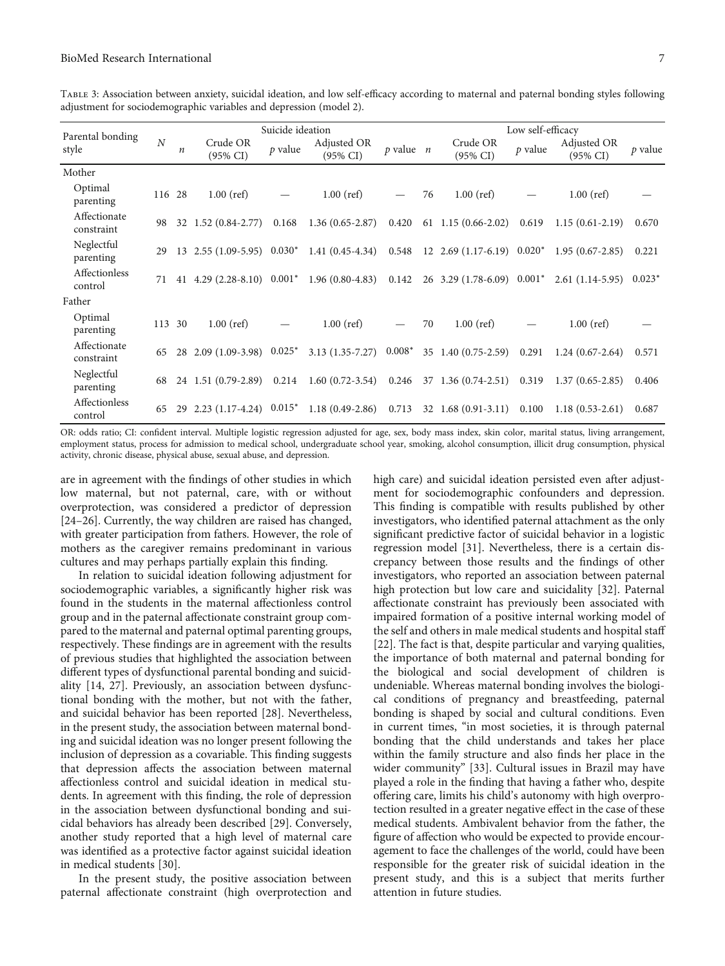<span id="page-6-0"></span>Table 3: Association between anxiety, suicidal ideation, and low self-efficacy according to maternal and paternal bonding styles following adjustment for sociodemographic variables and depression (model 2).

| Parental bonding           |                | Suicide ideation |                                     |           |                                                                                 |               |    | Low self-efficacy                  |           |                                    |           |  |
|----------------------------|----------------|------------------|-------------------------------------|-----------|---------------------------------------------------------------------------------|---------------|----|------------------------------------|-----------|------------------------------------|-----------|--|
| style                      | $\overline{N}$ | n                | Crude OR<br>$(95\% \text{ CI})$     | $p$ value | Adjusted OR<br>$(95\% \text{ CI})$                                              | $p$ value $n$ |    | Crude OR<br>$(95\% \text{ CI})$    | $p$ value | Adjusted OR<br>$(95\% \text{ CI})$ | $p$ value |  |
| Mother                     |                |                  |                                     |           |                                                                                 |               |    |                                    |           |                                    |           |  |
| Optimal<br>parenting       | 116 28         |                  | $1.00$ (ref)                        |           | $1.00$ (ref)                                                                    |               | 76 | $1.00$ (ref)                       |           | $1.00$ (ref)                       |           |  |
| Affectionate<br>constraint | 98             |                  | 32 1.52 (0.84-2.77)                 | 0.168     | $1.36(0.65-2.87)$                                                               | 0.420         |    | $61 \quad 1.15 \quad (0.66-2.02)$  | 0.619     | $1.15(0.61-2.19)$                  | 0.670     |  |
| Neglectful<br>parenting    | 29             |                  |                                     |           | $13$ $2.55$ $(1.09-5.95)$ $0.030^*$ $1.41$ $(0.45-4.34)$                        |               |    | $0.548$ 12 2.69 (1.17-6.19) 0.020* |           | $1.95(0.67-2.85)$                  | 0.221     |  |
| Affectionless<br>control   | 71             |                  |                                     |           | 41 4.29 (2.28-8.10) $0.001^*$ 1.96 (0.80-4.83) 0.142 26 3.29 (1.78-6.09) 0.001* |               |    |                                    |           | $2.61(1.14-5.95)$ $0.023^*$        |           |  |
| Father                     |                |                  |                                     |           |                                                                                 |               |    |                                    |           |                                    |           |  |
| Optimal<br>parenting       | 113 30         |                  | $1.00$ (ref)                        |           | $1.00$ (ref)                                                                    |               | 70 | $1.00$ (ref)                       |           | $1.00$ (ref)                       |           |  |
| Affectionate<br>constraint | 65             |                  | 28 2.09 (1.09-3.98) 0.025*          |           | $3.13(1.35 - 7.27)$                                                             | $0.008^*$     |    | 35 1.40 (0.75-2.59)                | 0.291     | $1.24(0.67-2.64)$                  | 0.571     |  |
| Neglectful<br>parenting    | 68             |                  | 24 1.51 (0.79-2.89)                 |           | $0.214$ 1.60 (0.72-3.54)                                                        | 0.246         |    | 37 1.36 (0.74-2.51)                | 0.319     | $1.37(0.65 - 2.85)$                | 0.406     |  |
| Affectionless<br>control   | 65             |                  | $29$ $2.23$ $(1.17-4.24)$ $0.015^*$ |           | $1.18(0.49-2.86)$                                                               | 0.713         |    | $32 \quad 1.68 \quad (0.91-3.11)$  | 0.100     | $1.18(0.53-2.61)$                  | 0.687     |  |

OR: odds ratio; CI: confident interval. Multiple logistic regression adjusted for age, sex, body mass index, skin color, marital status, living arrangement, employment status, process for admission to medical school, undergraduate school year, smoking, alcohol consumption, illicit drug consumption, physical activity, chronic disease, physical abuse, sexual abuse, and depression.

are in agreement with the findings of other studies in which low maternal, but not paternal, care, with or without overprotection, was considered a predictor of depression [\[24](#page-8-0)–[26\]](#page-8-0). Currently, the way children are raised has changed, with greater participation from fathers. However, the role of mothers as the caregiver remains predominant in various cultures and may perhaps partially explain this finding.

In relation to suicidal ideation following adjustment for sociodemographic variables, a significantly higher risk was found in the students in the maternal affectionless control group and in the paternal affectionate constraint group compared to the maternal and paternal optimal parenting groups, respectively. These findings are in agreement with the results of previous studies that highlighted the association between different types of dysfunctional parental bonding and suicidality [[14](#page-8-0), [27](#page-8-0)]. Previously, an association between dysfunctional bonding with the mother, but not with the father, and suicidal behavior has been reported [[28](#page-8-0)]. Nevertheless, in the present study, the association between maternal bonding and suicidal ideation was no longer present following the inclusion of depression as a covariable. This finding suggests that depression affects the association between maternal affectionless control and suicidal ideation in medical students. In agreement with this finding, the role of depression in the association between dysfunctional bonding and suicidal behaviors has already been described [\[29](#page-8-0)]. Conversely, another study reported that a high level of maternal care was identified as a protective factor against suicidal ideation in medical students [\[30\]](#page-8-0).

In the present study, the positive association between paternal affectionate constraint (high overprotection and high care) and suicidal ideation persisted even after adjustment for sociodemographic confounders and depression. This finding is compatible with results published by other investigators, who identified paternal attachment as the only significant predictive factor of suicidal behavior in a logistic regression model [[31](#page-8-0)]. Nevertheless, there is a certain discrepancy between those results and the findings of other investigators, who reported an association between paternal high protection but low care and suicidality [[32](#page-9-0)]. Paternal affectionate constraint has previously been associated with impaired formation of a positive internal working model of the self and others in male medical students and hospital staff [\[22](#page-8-0)]. The fact is that, despite particular and varying qualities, the importance of both maternal and paternal bonding for the biological and social development of children is undeniable. Whereas maternal bonding involves the biological conditions of pregnancy and breastfeeding, paternal bonding is shaped by social and cultural conditions. Even in current times, "in most societies, it is through paternal bonding that the child understands and takes her place within the family structure and also finds her place in the wider community" [[33](#page-9-0)]. Cultural issues in Brazil may have played a role in the finding that having a father who, despite offering care, limits his child's autonomy with high overprotection resulted in a greater negative effect in the case of these medical students. Ambivalent behavior from the father, the figure of affection who would be expected to provide encouragement to face the challenges of the world, could have been responsible for the greater risk of suicidal ideation in the present study, and this is a subject that merits further attention in future studies.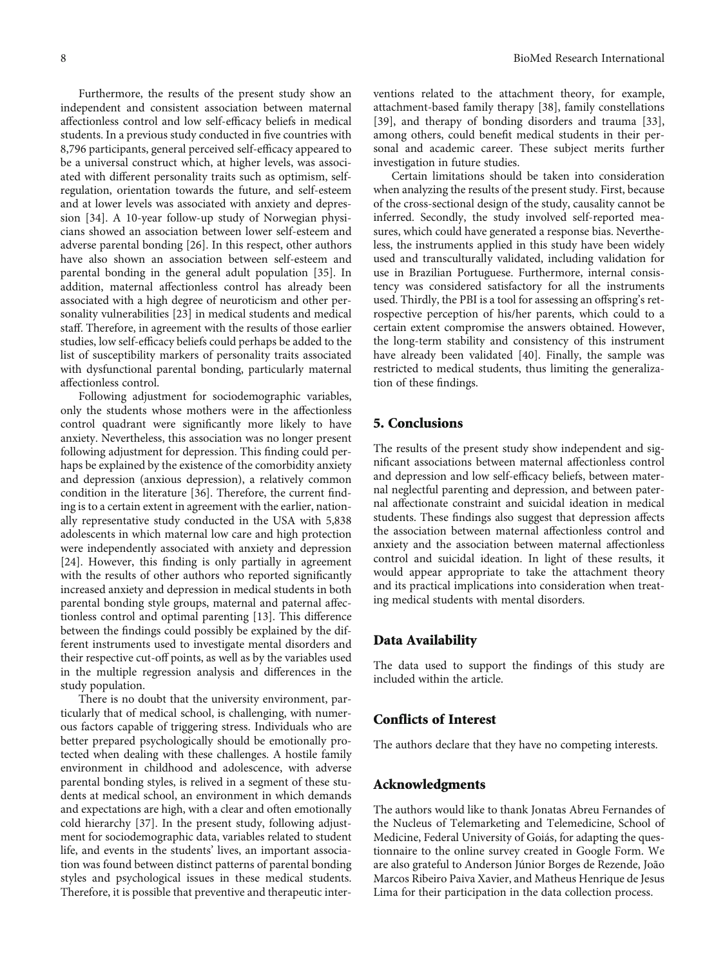Furthermore, the results of the present study show an independent and consistent association between maternal affectionless control and low self-efficacy beliefs in medical students. In a previous study conducted in five countries with 8,796 participants, general perceived self-efficacy appeared to be a universal construct which, at higher levels, was associated with different personality traits such as optimism, selfregulation, orientation towards the future, and self-esteem and at lower levels was associated with anxiety and depression [\[34\]](#page-9-0). A 10-year follow-up study of Norwegian physicians showed an association between lower self-esteem and adverse parental bonding [\[26\]](#page-8-0). In this respect, other authors have also shown an association between self-esteem and parental bonding in the general adult population [[35](#page-9-0)]. In addition, maternal affectionless control has already been associated with a high degree of neuroticism and other personality vulnerabilities [[23\]](#page-8-0) in medical students and medical staff. Therefore, in agreement with the results of those earlier studies, low self-efficacy beliefs could perhaps be added to the list of susceptibility markers of personality traits associated with dysfunctional parental bonding, particularly maternal affectionless control.

Following adjustment for sociodemographic variables, only the students whose mothers were in the affectionless control quadrant were significantly more likely to have anxiety. Nevertheless, this association was no longer present following adjustment for depression. This finding could perhaps be explained by the existence of the comorbidity anxiety and depression (anxious depression), a relatively common condition in the literature [[36\]](#page-9-0). Therefore, the current finding is to a certain extent in agreement with the earlier, nationally representative study conducted in the USA with 5,838 adolescents in which maternal low care and high protection were independently associated with anxiety and depression [\[24](#page-8-0)]. However, this finding is only partially in agreement with the results of other authors who reported significantly increased anxiety and depression in medical students in both parental bonding style groups, maternal and paternal affectionless control and optimal parenting [[13](#page-8-0)]. This difference between the findings could possibly be explained by the different instruments used to investigate mental disorders and their respective cut-off points, as well as by the variables used in the multiple regression analysis and differences in the study population.

There is no doubt that the university environment, particularly that of medical school, is challenging, with numerous factors capable of triggering stress. Individuals who are better prepared psychologically should be emotionally protected when dealing with these challenges. A hostile family environment in childhood and adolescence, with adverse parental bonding styles, is relived in a segment of these students at medical school, an environment in which demands and expectations are high, with a clear and often emotionally cold hierarchy [\[37\]](#page-9-0). In the present study, following adjustment for sociodemographic data, variables related to student life, and events in the students' lives, an important association was found between distinct patterns of parental bonding styles and psychological issues in these medical students. Therefore, it is possible that preventive and therapeutic interventions related to the attachment theory, for example, attachment-based family therapy [[38](#page-9-0)], family constellations [\[39](#page-9-0)], and therapy of bonding disorders and trauma [[33](#page-9-0)], among others, could benefit medical students in their personal and academic career. These subject merits further investigation in future studies.

Certain limitations should be taken into consideration when analyzing the results of the present study. First, because of the cross-sectional design of the study, causality cannot be inferred. Secondly, the study involved self-reported measures, which could have generated a response bias. Nevertheless, the instruments applied in this study have been widely used and transculturally validated, including validation for use in Brazilian Portuguese. Furthermore, internal consistency was considered satisfactory for all the instruments used. Thirdly, the PBI is a tool for assessing an offspring's retrospective perception of his/her parents, which could to a certain extent compromise the answers obtained. However, the long-term stability and consistency of this instrument have already been validated [\[40\]](#page-9-0). Finally, the sample was restricted to medical students, thus limiting the generalization of these findings.

## 5. Conclusions

The results of the present study show independent and significant associations between maternal affectionless control and depression and low self-efficacy beliefs, between maternal neglectful parenting and depression, and between paternal affectionate constraint and suicidal ideation in medical students. These findings also suggest that depression affects the association between maternal affectionless control and anxiety and the association between maternal affectionless control and suicidal ideation. In light of these results, it would appear appropriate to take the attachment theory and its practical implications into consideration when treating medical students with mental disorders.

#### Data Availability

The data used to support the findings of this study are included within the article.

### Conflicts of Interest

The authors declare that they have no competing interests.

### Acknowledgments

The authors would like to thank Jonatas Abreu Fernandes of the Nucleus of Telemarketing and Telemedicine, School of Medicine, Federal University of Goiás, for adapting the questionnaire to the online survey created in Google Form. We are also grateful to Anderson Júnior Borges de Rezende, João Marcos Ribeiro Paiva Xavier, and Matheus Henrique de Jesus Lima for their participation in the data collection process.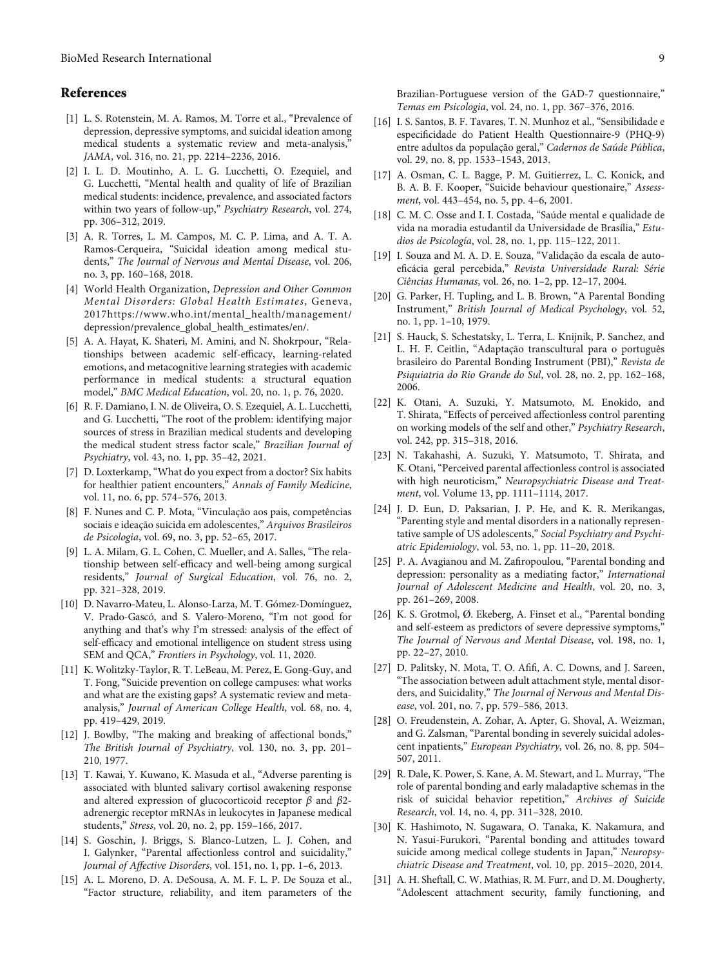# <span id="page-8-0"></span>References

- [1] L. S. Rotenstein, M. A. Ramos, M. Torre et al., "Prevalence of depression, depressive symptoms, and suicidal ideation among medical students a systematic review and meta-analysis," JAMA, vol. 316, no. 21, pp. 2214–2236, 2016.
- [2] I. L. D. Moutinho, A. L. G. Lucchetti, O. Ezequiel, and G. Lucchetti, "Mental health and quality of life of Brazilian medical students: incidence, prevalence, and associated factors within two years of follow-up," Psychiatry Research, vol. 274, pp. 306–312, 2019.
- [3] A. R. Torres, L. M. Campos, M. C. P. Lima, and A. T. A. Ramos-Cerqueira, "Suicidal ideation among medical students," The Journal of Nervous and Mental Disease, vol. 206, no. 3, pp. 160–168, 2018.
- [4] World Health Organization, Depression and Other Common Mental Disorders: Global Health Estimates, Geneva, 2017[https://www.who.int/mental\\_health/management/](https://www.who.int/mental_health/management/depression/prevalence_global_health_estimates/en/) [depression/prevalence\\_global\\_health\\_estimates/en/.](https://www.who.int/mental_health/management/depression/prevalence_global_health_estimates/en/)
- [5] A. A. Hayat, K. Shateri, M. Amini, and N. Shokrpour, "Relationships between academic self-efficacy, learning-related emotions, and metacognitive learning strategies with academic performance in medical students: a structural equation model," BMC Medical Education, vol. 20, no. 1, p. 76, 2020.
- [6] R. F. Damiano, I. N. de Oliveira, O. S. Ezequiel, A. L. Lucchetti, and G. Lucchetti, "The root of the problem: identifying major sources of stress in Brazilian medical students and developing the medical student stress factor scale," Brazilian Journal of Psychiatry, vol. 43, no. 1, pp. 35–42, 2021.
- [7] D. Loxterkamp, "What do you expect from a doctor? Six habits for healthier patient encounters," Annals of Family Medicine, vol. 11, no. 6, pp. 574–576, 2013.
- [8] F. Nunes and C. P. Mota, "Vinculação aos pais, competências sociais e ideação suicida em adolescentes," Arquivos Brasileiros de Psicologia, vol. 69, no. 3, pp. 52–65, 2017.
- [9] L. A. Milam, G. L. Cohen, C. Mueller, and A. Salles, "The relationship between self-efficacy and well-being among surgical residents," Journal of Surgical Education, vol. 76, no. 2, pp. 321–328, 2019.
- [10] D. Navarro-Mateu, L. Alonso-Larza, M. T. Gómez-Domínguez, V. Prado-Gascó, and S. Valero-Moreno, "I'm not good for anything and that's why I'm stressed: analysis of the effect of self-efficacy and emotional intelligence on student stress using SEM and QCA," Frontiers in Psychology, vol. 11, 2020.
- [11] K. Wolitzky-Taylor, R. T. LeBeau, M. Perez, E. Gong-Guy, and T. Fong, "Suicide prevention on college campuses: what works and what are the existing gaps? A systematic review and metaanalysis," Journal of American College Health, vol. 68, no. 4, pp. 419–429, 2019.
- [12] J. Bowlby, "The making and breaking of affectional bonds," The British Journal of Psychiatry, vol. 130, no. 3, pp. 201– 210, 1977.
- [13] T. Kawai, Y. Kuwano, K. Masuda et al., "Adverse parenting is associated with blunted salivary cortisol awakening response and altered expression of glucocorticoid receptor *β* and *β*2 adrenergic receptor mRNAs in leukocytes in Japanese medical students," Stress, vol. 20, no. 2, pp. 159–166, 2017.
- [14] S. Goschin, J. Briggs, S. Blanco-Lutzen, L. J. Cohen, and I. Galynker, "Parental affectionless control and suicidality," Journal of Affective Disorders, vol. 151, no. 1, pp. 1–6, 2013.
- [15] A. L. Moreno, D. A. DeSousa, A. M. F. L. P. De Souza et al., "Factor structure, reliability, and item parameters of the
- [16] I. S. Santos, B. F. Tavares, T. N. Munhoz et al., "Sensibilidade e especificidade do Patient Health Questionnaire-9 (PHQ-9) entre adultos da população geral," Cadernos de Saúde Pública, vol. 29, no. 8, pp. 1533–1543, 2013.
- [17] A. Osman, C. L. Bagge, P. M. Guitierrez, L. C. Konick, and B. A. B. F. Kooper, "Suicide behaviour questionaire," Assessment, vol. 443–454, no. 5, pp. 4–6, 2001.
- [18] C. M. C. Osse and I. I. Costada, "Saúde mental e qualidade de vida na moradia estudantil da Universidade de Brasília," Estudios de Psicología, vol. 28, no. 1, pp. 115–122, 2011.
- [19] I. Souza and M. A. D. E. Souza, "Validação da escala de autoeficácia geral percebida," Revista Universidade Rural: Série Ciências Humanas, vol. 26, no. 1–2, pp. 12–17, 2004.
- [20] G. Parker, H. Tupling, and L. B. Brown, "A Parental Bonding Instrument," British Journal of Medical Psychology, vol. 52, no. 1, pp. 1–10, 1979.
- [21] S. Hauck, S. Schestatsky, L. Terra, L. Knijnik, P. Sanchez, and L. H. F. Ceitlin, "Adaptação transcultural para o português brasileiro do Parental Bonding Instrument (PBI)," Revista de Psiquiatria do Rio Grande do Sul, vol. 28, no. 2, pp. 162–168, 2006.
- [22] K. Otani, A. Suzuki, Y. Matsumoto, M. Enokido, and T. Shirata, "Effects of perceived affectionless control parenting on working models of the self and other," Psychiatry Research, vol. 242, pp. 315–318, 2016.
- [23] N. Takahashi, A. Suzuki, Y. Matsumoto, T. Shirata, and K. Otani, "Perceived parental affectionless control is associated with high neuroticism," Neuropsychiatric Disease and Treatment, vol. Volume 13, pp. 1111–1114, 2017.
- [24] J. D. Eun, D. Paksarian, J. P. He, and K. R. Merikangas, "Parenting style and mental disorders in a nationally representative sample of US adolescents," Social Psychiatry and Psychiatric Epidemiology, vol. 53, no. 1, pp. 11–20, 2018.
- [25] P. A. Avagianou and M. Zafiropoulou, "Parental bonding and depression: personality as a mediating factor," International Journal of Adolescent Medicine and Health, vol. 20, no. 3, pp. 261–269, 2008.
- [26] K. S. Grotmol, Ø. Ekeberg, A. Finset et al., "Parental bonding and self-esteem as predictors of severe depressive symptoms," The Journal of Nervous and Mental Disease, vol. 198, no. 1, pp. 22–27, 2010.
- [27] D. Palitsky, N. Mota, T. O. Afifi, A. C. Downs, and J. Sareen, "The association between adult attachment style, mental disorders, and Suicidality," The Journal of Nervous and Mental Disease, vol. 201, no. 7, pp. 579–586, 2013.
- [28] O. Freudenstein, A. Zohar, A. Apter, G. Shoval, A. Weizman, and G. Zalsman, "Parental bonding in severely suicidal adolescent inpatients," European Psychiatry, vol. 26, no. 8, pp. 504– 507, 2011.
- [29] R. Dale, K. Power, S. Kane, A. M. Stewart, and L. Murray, "The role of parental bonding and early maladaptive schemas in the risk of suicidal behavior repetition," Archives of Suicide Research, vol. 14, no. 4, pp. 311–328, 2010.
- [30] K. Hashimoto, N. Sugawara, O. Tanaka, K. Nakamura, and N. Yasui-Furukori, "Parental bonding and attitudes toward suicide among medical college students in Japan," Neuropsychiatric Disease and Treatment, vol. 10, pp. 2015–2020, 2014.
- [31] A. H. Sheftall, C. W. Mathias, R. M. Furr, and D. M. Dougherty, "Adolescent attachment security, family functioning, and